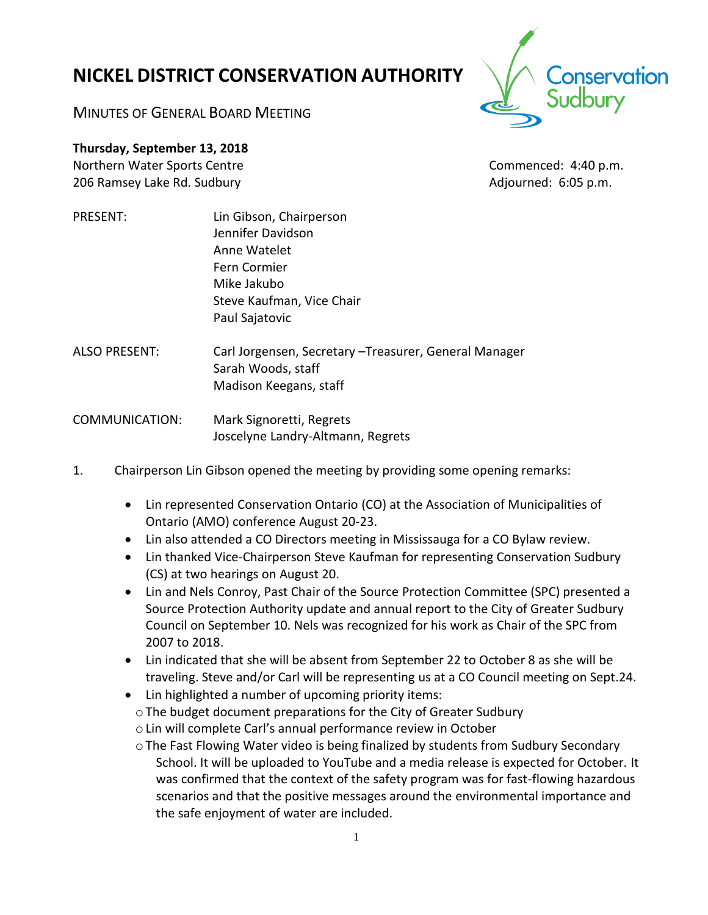# **NICKEL DISTRICT CONSERVATION AUTHORITY**

onservation

MINUTES OF GENERAL BOARD MEETING

**Thursday, September 13, 2018** Northern Water Sports Centre Commenced: 4:40 p.m.

206 Ramsey Lake Rd. Sudbury **Adjourned: 6:05 p.m.** Adjourned: 6:05 p.m.

- PRESENT: Lin Gibson, Chairperson Jennifer Davidson Anne Watelet Fern Cormier Mike Jakubo Steve Kaufman, Vice Chair Paul Sajatovic
- ALSO PRESENT: Carl Jorgensen, Secretary –Treasurer, General Manager Sarah Woods, staff Madison Keegans, staff

COMMUNICATION: Mark Signoretti, Regrets Joscelyne Landry-Altmann, Regrets

- 1. Chairperson Lin Gibson opened the meeting by providing some opening remarks:
	- Lin represented Conservation Ontario (CO) at the Association of Municipalities of Ontario (AMO) conference August 20-23.
	- Lin also attended a CO Directors meeting in Mississauga for a CO Bylaw review.
	- Lin thanked Vice-Chairperson Steve Kaufman for representing Conservation Sudbury (CS) at two hearings on August 20.
	- Lin and Nels Conroy, Past Chair of the Source Protection Committee (SPC) presented a Source Protection Authority update and annual report to the City of Greater Sudbury Council on September 10. Nels was recognized for his work as Chair of the SPC from 2007 to 2018.
	- Lin indicated that she will be absent from September 22 to October 8 as she will be traveling. Steve and/or Carl will be representing us at a CO Council meeting on Sept.24.
	- Lin highlighted a number of upcoming priority items:
	- oThe budget document preparations for the City of Greater Sudbury
	- oLin will complete Carl's annual performance review in October
	- $\circ$  The Fast Flowing Water video is being finalized by students from Sudbury Secondary School. It will be uploaded to YouTube and a media release is expected for October. It was confirmed that the context of the safety program was for fast-flowing hazardous scenarios and that the positive messages around the environmental importance and the safe enjoyment of water are included.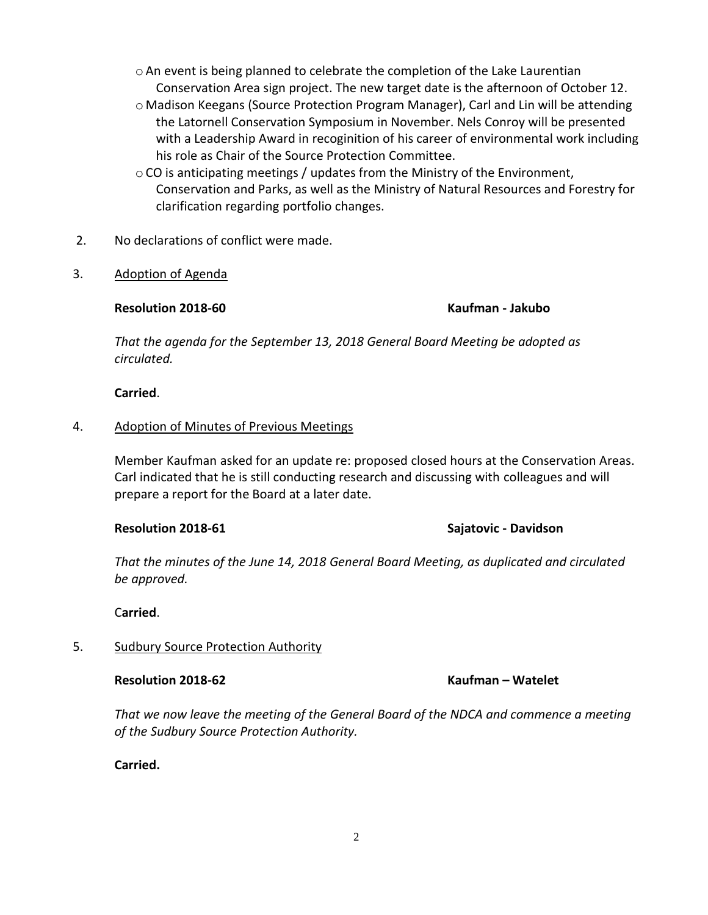- $\circ$  An event is being planned to celebrate the completion of the Lake Laurentian Conservation Area sign project. The new target date is the afternoon of October 12.
- o Madison Keegans (Source Protection Program Manager), Carl and Lin will be attending the Latornell Conservation Symposium in November. Nels Conroy will be presented with a Leadership Award in recoginition of his career of environmental work including his role as Chair of the Source Protection Committee.
- oCO is anticipating meetings / updates from the Ministry of the Environment, Conservation and Parks, as well as the Ministry of Natural Resources and Forestry for clarification regarding portfolio changes.
- 2. No declarations of conflict were made.
- 3. Adoption of Agenda

### **Resolution 2018-60 Kaufman - Jakubo**

*That the agenda for the September 13, 2018 General Board Meeting be adopted as circulated.* 

### **Carried**.

# 4. Adoption of Minutes of Previous Meetings

Member Kaufman asked for an update re: proposed closed hours at the Conservation Areas. Carl indicated that he is still conducting research and discussing with colleagues and will prepare a report for the Board at a later date.

### **Resolution 2018-61 Sajatovic - Davidson**

*That the minutes of the June 14, 2018 General Board Meeting, as duplicated and circulated be approved.*

C**arried**.

# 5. Sudbury Source Protection Authority

*That we now leave the meeting of the General Board of the NDCA and commence a meeting of the Sudbury Source Protection Authority.*

# **Carried.**

# **Resolution 2018-62 Kaufman – Watelet**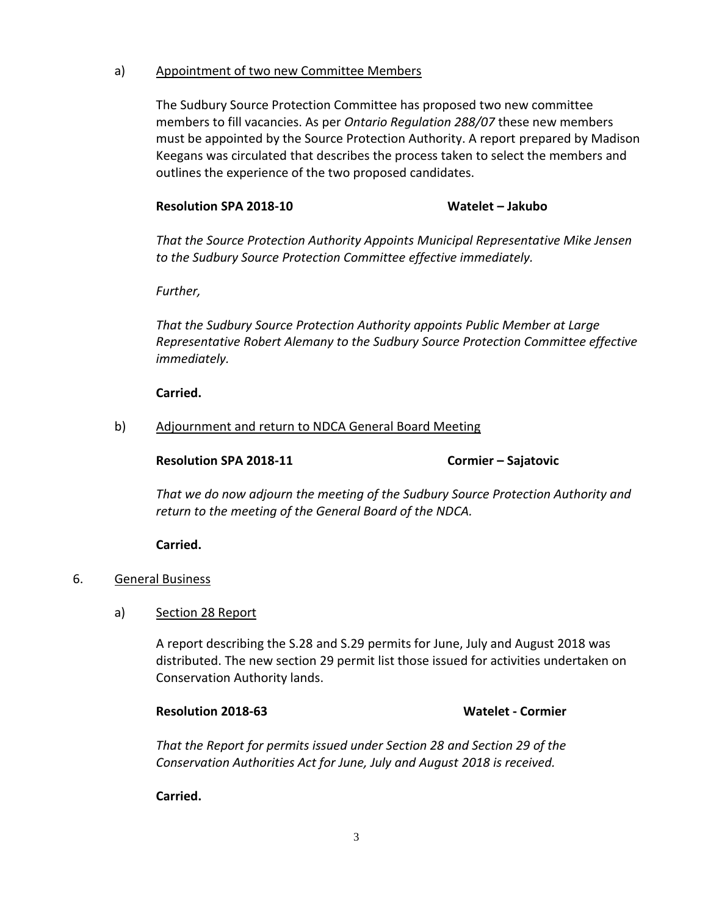### a) Appointment of two new Committee Members

The Sudbury Source Protection Committee has proposed two new committee members to fill vacancies. As per *Ontario Regulation 288/07* these new members must be appointed by the Source Protection Authority. A report prepared by Madison Keegans was circulated that describes the process taken to select the members and outlines the experience of the two proposed candidates.

### **Resolution SPA 2018-10 Watelet – Jakubo**

*That the Source Protection Authority Appoints Municipal Representative Mike Jensen to the Sudbury Source Protection Committee effective immediately.* 

*Further,*

*That the Sudbury Source Protection Authority appoints Public Member at Large Representative Robert Alemany to the Sudbury Source Protection Committee effective immediately.*

### **Carried.**

### b) Adjournment and return to NDCA General Board Meeting

### **Resolution SPA 2018-11 Cormier – Sajatovic**

*That we do now adjourn the meeting of the Sudbury Source Protection Authority and return to the meeting of the General Board of the NDCA.*

### **Carried.**

- 6. General Business
	- a) Section 28 Report

A report describing the S.28 and S.29 permits for June, July and August 2018 was distributed. The new section 29 permit list those issued for activities undertaken on Conservation Authority lands.

### **Resolution 2018-63 Watelet - Cormier**

*That the Report for permits issued under Section 28 and Section 29 of the Conservation Authorities Act for June, July and August 2018 is received.*

**Carried.**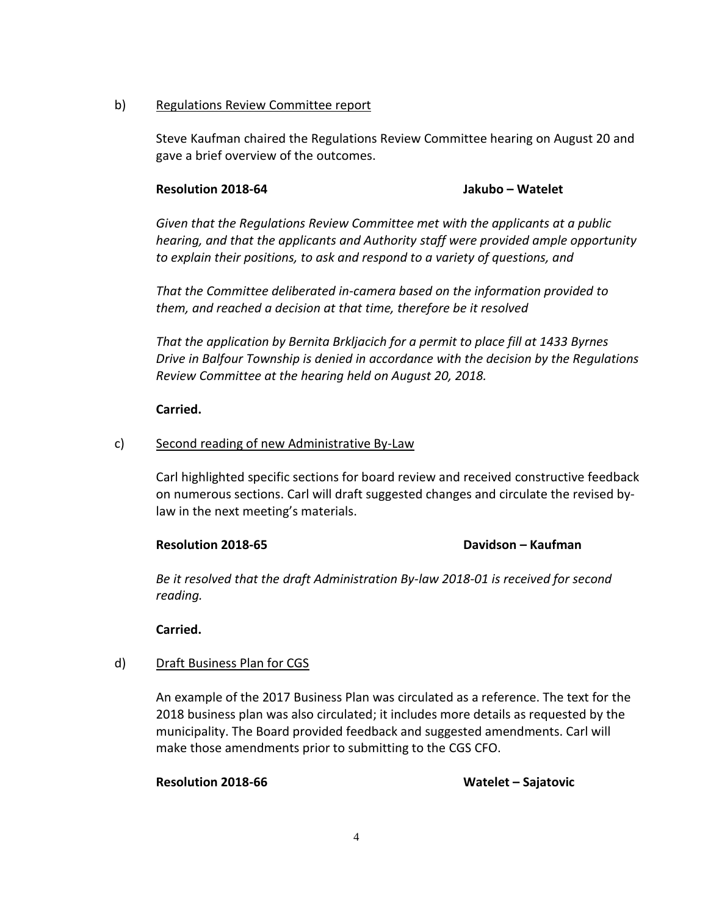### b) Regulations Review Committee report

Steve Kaufman chaired the Regulations Review Committee hearing on August 20 and gave a brief overview of the outcomes.

### **Resolution 2018-64 Jakubo – Watelet**

*Given that the Regulations Review Committee met with the applicants at a public hearing, and that the applicants and Authority staff were provided ample opportunity to explain their positions, to ask and respond to a variety of questions, and*

*That the Committee deliberated in-camera based on the information provided to them, and reached a decision at that time, therefore be it resolved* 

*That the application by Bernita Brkljacich for a permit to place fill at 1433 Byrnes Drive in Balfour Township is denied in accordance with the decision by the Regulations Review Committee at the hearing held on August 20, 2018.*

### **Carried.**

### c) Second reading of new Administrative By-Law

Carl highlighted specific sections for board review and received constructive feedback on numerous sections. Carl will draft suggested changes and circulate the revised bylaw in the next meeting's materials.

### **Resolution 2018-65 Davidson – Kaufman**

*Be it resolved that the draft Administration By-law 2018-01 is received for second reading.*

**Carried.**

### d) Draft Business Plan for CGS

An example of the 2017 Business Plan was circulated as a reference. The text for the 2018 business plan was also circulated; it includes more details as requested by the municipality. The Board provided feedback and suggested amendments. Carl will make those amendments prior to submitting to the CGS CFO.

**Resolution 2018-66 Watelet – Sajatovic**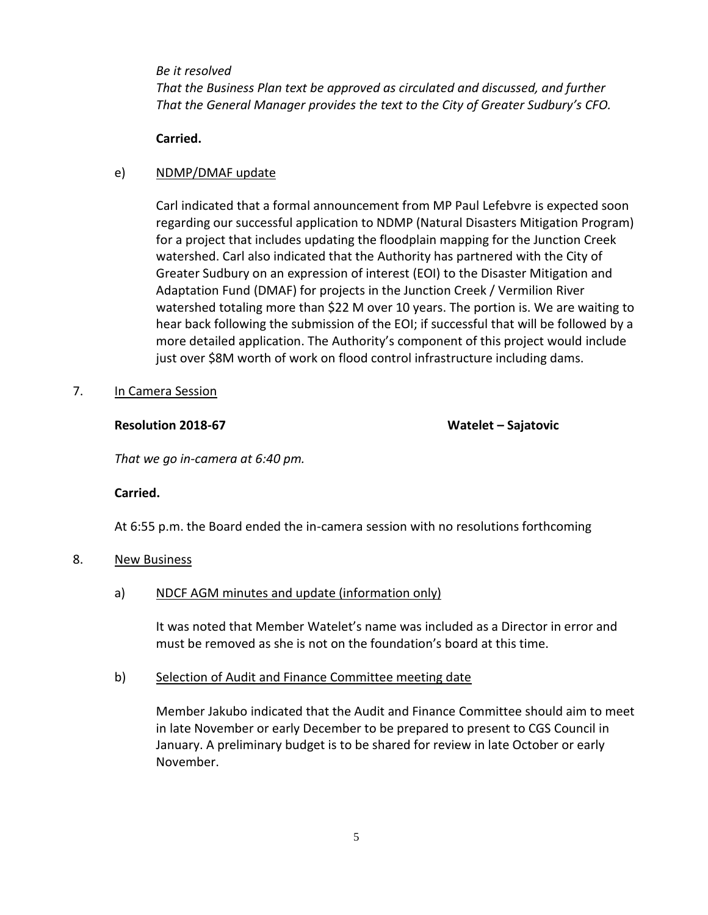### *Be it resolved*

*That the Business Plan text be approved as circulated and discussed, and further That the General Manager provides the text to the City of Greater Sudbury's CFO.*

### **Carried.**

### e) NDMP/DMAF update

Carl indicated that a formal announcement from MP Paul Lefebvre is expected soon regarding our successful application to NDMP (Natural Disasters Mitigation Program) for a project that includes updating the floodplain mapping for the Junction Creek watershed. Carl also indicated that the Authority has partnered with the City of Greater Sudbury on an expression of interest (EOI) to the Disaster Mitigation and Adaptation Fund (DMAF) for projects in the Junction Creek / Vermilion River watershed totaling more than \$22 M over 10 years. The portion is. We are waiting to hear back following the submission of the EOI; if successful that will be followed by a more detailed application. The Authority's component of this project would include just over \$8M worth of work on flood control infrastructure including dams.

### 7. In Camera Session

### **Resolution 2018-67 Watelet – Sajatovic**

*That we go in-camera at 6:40 pm.*

### **Carried.**

At 6:55 p.m. the Board ended the in-camera session with no resolutions forthcoming

### 8. New Business

a) NDCF AGM minutes and update (information only)

It was noted that Member Watelet's name was included as a Director in error and must be removed as she is not on the foundation's board at this time.

### b) Selection of Audit and Finance Committee meeting date

Member Jakubo indicated that the Audit and Finance Committee should aim to meet in late November or early December to be prepared to present to CGS Council in January. A preliminary budget is to be shared for review in late October or early November.